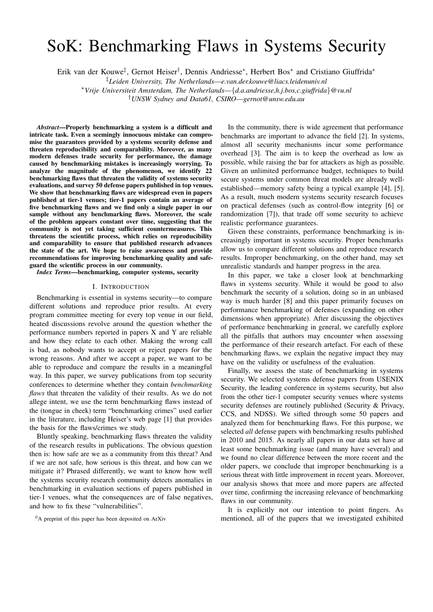# SoK: Benchmarking Flaws in Systems Security

Erik van der Kouwe‡ , Gernot Heiser† , Dennis Andriesse<sup>∗</sup> , Herbert Bos<sup>∗</sup> and Cristiano Giuffrida<sup>∗</sup>

‡*Leiden University, The Netherlands*—*e.van.der.kouwe@liacs.leidenuniv.nl*

<sup>∗</sup>*Vrije Universiteit Amsterdam, The Netherlands*—{*d.a.andriesse,h.j.bos,c.giuffrida*}*@vu.nl*

†*UNSW Sydney and Data61, CSIRO*—*gernot@unsw.edu.au*

*Abstract*—Properly benchmarking a system is a difficult and intricate task. Even a seemingly innocuous mistake can compromise the guarantees provided by a systems security defense and threaten reproducibility and comparability. Moreover, as many modern defenses trade security for performance, the damage caused by benchmarking mistakes is increasingly worrying. To analyze the magnitude of the phenomenon, we identify 22 benchmarking flaws that threaten the validity of systems security evaluations, and survey 50 defense papers published in top venues. We show that benchmarking flaws are widespread even in papers published at tier-1 venues; tier-1 papers contain an average of five benchmarking flaws and we find only a single paper in our sample without any benchmarking flaws. Moreover, the scale of the problem appears constant over time, suggesting that the community is not yet taking sufficient countermeasures. This threatens the scientific process, which relies on reproducibility and comparability to ensure that published research advances the state of the art. We hope to raise awareness and provide recommendations for improving benchmarking quality and safeguard the scientific process in our community.

*Index Terms*—benchmarking, computer systems, security

#### I. INTRODUCTION

Benchmarking is essential in systems security—to compare different solutions and reproduce prior results. At every program committee meeting for every top venue in our field, heated discussions revolve around the question whether the performance numbers reported in papers X and Y are reliable and how they relate to each other. Making the wrong call is bad, as nobody wants to accept or reject papers for the wrong reasons. And after we accept a paper, we want to be able to reproduce and compare the results in a meaningful way. In this paper, we survey publications from top security conferences to determine whether they contain *benchmarking flaws* that threaten the validity of their results. As we do not allege intent, we use the term benchmarking flaws instead of the (tongue in cheek) term "benchmarking crimes" used earlier in the literature, including Heiser's web page [1] that provides the basis for the flaws/crimes we study.

Bluntly speaking, benchmarking flaws threaten the validity of the research results in publications. The obvious question then is: how safe are we as a community from this threat? And if we are not safe, how serious is this threat, and how can we mitigate it? Phrased differently, we want to know how well the systems security research community detects anomalies in benchmarking in evaluation sections of papers published in tier-1 venues, what the consequences are of false negatives, and how to fix these "vulnerabilities".

In the community, there is wide agreement that performance benchmarks are important to advance the field [2]. In systems, almost all security mechanisms incur some performance overhead [3]. The aim is to keep the overhead as low as possible, while raising the bar for attackers as high as possible. Given an unlimited performance budget, techniques to build secure systems under common threat models are already wellestablished—memory safety being a typical example [4], [5]. As a result, much modern systems security research focuses on practical defenses (such as control-flow integrity [6] or randomization [7]), that trade off some security to achieve realistic performance guarantees.

Given these constraints, performance benchmarking is increasingly important in systems security. Proper benchmarks allow us to compare different solutions and reproduce research results. Improper benchmarking, on the other hand, may set unrealistic standards and hamper progress in the area.

In this paper, we take a closer look at benchmarking flaws in systems security. While it would be good to also benchmark the security of a solution, doing so in an unbiased way is much harder [8] and this paper primarily focuses on performance benchmarking of defenses (expanding on other dimensions when appropriate). After discussing the objectives of performance benchmarking in general, we carefully explore all the pitfalls that authors may encounter when assessing the performance of their research artefact. For each of these benchmarking flaws, we explain the negative impact they may have on the validity or usefulness of the evaluation.

Finally, we assess the state of benchmarking in systems security. We selected systems defense papers from USENIX Security, the leading conference in systems security, but also from the other tier-1 computer security venues where systems security defenses are routinely published (Security & Privacy, CCS, and NDSS). We sifted through some 50 papers and analyzed them for benchmarking flaws. For this purpose, we selected *all* defense papers with benchmarking results published in 2010 and 2015. As nearly all papers in our data set have at least some benchmarking issue (and many have several) and we found no clear difference between the more recent and the older papers, we conclude that improper benchmarking is a serious threat with little improvement in recent years. Moreover, our analysis shows that more and more papers are affected over time, confirming the increasing relevance of benchmarking flaws in our community.

It is explicitly not our intention to point fingers. As mentioned, all of the papers that we investigated exhibited

<sup>&</sup>lt;sup>0</sup>A preprint of this paper has been deposited on ArXiv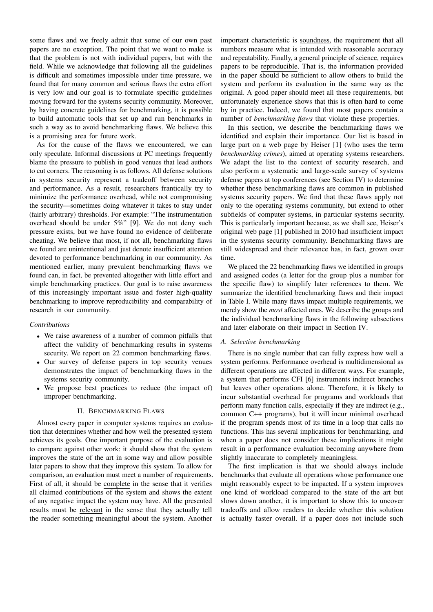some flaws and we freely admit that some of our own past papers are no exception. The point that we want to make is that the problem is not with individual papers, but with the field. While we acknowledge that following all the guidelines is difficult and sometimes impossible under time pressure, we found that for many common and serious flaws the extra effort is very low and our goal is to formulate specific guidelines moving forward for the systems security community. Moreover, by having concrete guidelines for benchmarking, it is possible to build automatic tools that set up and run benchmarks in such a way as to avoid benchmarking flaws. We believe this is a promising area for future work.

As for the cause of the flaws we encountered, we can only speculate. Informal discussions at PC meetings frequently blame the pressure to publish in good venues that lead authors to cut corners. The reasoning is as follows. All defense solutions in systems security represent a tradeoff between security and performance. As a result, researchers frantically try to minimize the performance overhead, while not compromising the security—sometimes doing whatever it takes to stay under (fairly arbitrary) thresholds. For example: "The instrumentation overhead should be under 5%" [9]. We do not deny such pressure exists, but we have found no evidence of deliberate cheating. We believe that most, if not all, benchmarking flaws we found are unintentional and just denote insufficient attention devoted to performance benchmarking in our community. As mentioned earlier, many prevalent benchmarking flaws we found can, in fact, be prevented altogether with little effort and simple benchmarking practices. Our goal is to raise awareness of this increasingly important issue and foster high-quality benchmarking to improve reproducibility and comparability of research in our community.

## *Contributions*

- We raise awareness of a number of common pitfalls that affect the validity of benchmarking results in systems security. We report on 22 common benchmarking flaws.
- Our survey of defense papers in top security venues demonstrates the impact of benchmarking flaws in the systems security community.
- We propose best practices to reduce (the impact of) improper benchmarking.

## II. BENCHMARKING FLAWS

Almost every paper in computer systems requires an evaluation that determines whether and how well the presented system achieves its goals. One important purpose of the evaluation is to compare against other work: it should show that the system improves the state of the art in some way and allow possible later papers to show that they improve this system. To allow for comparison, an evaluation must meet a number of requirements. First of all, it should be complete in the sense that it verifies all claimed contributions of the system and shows the extent of any negative impact the system may have. All the presented results must be relevant in the sense that they actually tell the reader something meaningful about the system. Another

important characteristic is soundness, the requirement that all numbers measure what is intended with reasonable accuracy and repeatability. Finally, a general principle of science, requires papers to be reproducible. That is, the information provided in the paper should be sufficient to allow others to build the system and perform its evaluation in the same way as the original. A good paper should meet all these requirements, but unfortunately experience shows that this is often hard to come by in practice. Indeed, we found that most papers contain a number of *benchmarking flaws* that violate these properties.

In this section, we describe the benchmarking flaws we identified and explain their importance. Our list is based in large part on a web page by Heiser [1] (who uses the term *benchmarking crimes*), aimed at operating systems researchers. We adapt the list to the context of security research, and also perform a systematic and large-scale survey of systems defense papers at top conferences (see Section IV) to determine whether these benchmarking flaws are common in published systems security papers. We find that these flaws apply not only to the operating systems community, but extend to other subfields of computer systems, in particular systems security. This is particularly important because, as we shall see, Heiser's original web page [1] published in 2010 had insufficient impact in the systems security community. Benchmarking flaws are still widespread and their relevance has, in fact, grown over time.

We placed the 22 benchmarking flaws we identified in groups and assigned codes (a letter for the group plus a number for the specific flaw) to simplify later references to them. We summarize the identified benchmarking flaws and their impact in Table I. While many flaws impact multiple requirements, we merely show the *most* affected ones. We describe the groups and the individual benchmarking flaws in the following subsections and later elaborate on their impact in Section IV.

#### *A. Selective benchmarking*

There is no single number that can fully express how well a system performs. Performance overhead is multidimensional as different operations are affected in different ways. For example, a system that performs CFI [6] instruments indirect branches but leaves other operations alone. Therefore, it is likely to incur substantial overhead for programs and workloads that perform many function calls, especially if they are indirect (e.g., common C++ programs), but it will incur minimal overhead if the program spends most of its time in a loop that calls no functions. This has several implications for benchmarking, and when a paper does not consider these implications it might result in a performance evaluation becoming anywhere from slightly inaccurate to completely meaningless.

The first implication is that we should always include benchmarks that evaluate all operations whose performance one might reasonably expect to be impacted. If a system improves one kind of workload compared to the state of the art but slows down another, it is important to show this to uncover tradeoffs and allow readers to decide whether this solution is actually faster overall. If a paper does not include such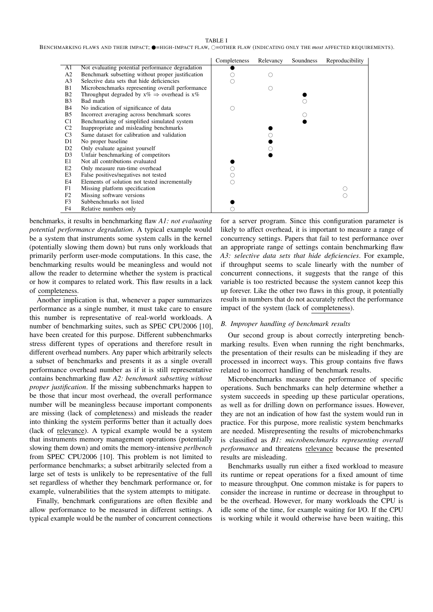TABLE I

BENCHMARKING FLAWS AND THEIR IMPACT;  $\bullet$ =HIGH-IMPACT FLAW,  $\circ$ =OTHER FLAW (INDICATING ONLY THE *most* AFFECTED REQUIREMENTS).

|                |                                                            | Completeness | Relevancy | Soundness | Reproducibility |
|----------------|------------------------------------------------------------|--------------|-----------|-----------|-----------------|
| A1             | Not evaluating potential performance degradation           |              |           |           |                 |
| A <sub>2</sub> | Benchmark subsetting without proper justification          |              |           |           |                 |
| A <sub>3</sub> | Selective data sets that hide deficiencies                 |              |           |           |                 |
| B1             | Microbenchmarks representing overall performance           |              |           |           |                 |
| B <sub>2</sub> | Throughput degraded by $x\% \Rightarrow$ overhead is $x\%$ |              |           |           |                 |
| B <sub>3</sub> | Bad math                                                   |              |           |           |                 |
| <b>B</b> 4     | No indication of significance of data                      | ( )          |           |           |                 |
| B <sub>5</sub> | Incorrect averaging across benchmark scores                |              |           |           |                 |
| C1             | Benchmarking of simplified simulated system                |              |           |           |                 |
| C <sub>2</sub> | Inappropriate and misleading benchmarks                    |              |           |           |                 |
| C <sub>3</sub> | Same dataset for calibration and validation                |              |           |           |                 |
| D1             | No proper baseline                                         |              |           |           |                 |
| D <sub>2</sub> | Only evaluate against yourself                             |              |           |           |                 |
| D <sub>3</sub> | Unfair benchmarking of competitors                         |              |           |           |                 |
| E1             | Not all contributions evaluated                            |              |           |           |                 |
| E2             | Only measure run-time overhead                             |              |           |           |                 |
| E <sub>3</sub> | False positives/negatives not tested                       |              |           |           |                 |
| E4             | Elements of solution not tested incrementally              | ()           |           |           |                 |
| F1             | Missing platform specification                             |              |           |           |                 |
| F2             | Missing software versions                                  |              |           |           |                 |
| F <sub>3</sub> | Subbenchmarks not listed                                   |              |           |           |                 |
| F4             | Relative numbers only                                      |              |           |           |                 |

benchmarks, it results in benchmarking flaw *A1: not evaluating potential performance degradation*. A typical example would be a system that instruments some system calls in the kernel (potentially slowing them down) but runs only workloads that primarily perform user-mode computations. In this case, the benchmarking results would be meaningless and would not allow the reader to determine whether the system is practical or how it compares to related work. This flaw results in a lack of completeness.

Another implication is that, whenever a paper summarizes performance as a single number, it must take care to ensure this number is representative of real-world workloads. A number of benchmarking suites, such as SPEC CPU2006 [10], have been created for this purpose. Different subbenchmarks stress different types of operations and therefore result in different overhead numbers. Any paper which arbitrarily selects a subset of benchmarks and presents it as a single overall performance overhead number as if it is still representative contains benchmarking flaw *A2: benchmark subsetting without proper justification*. If the missing subbenchmarks happen to be those that incur most overhead, the overall performance number will be meaningless because important components are missing (lack of completeness) and misleads the reader into thinking the system performs better than it actually does (lack of relevance). A typical example would be a system that instruments memory management operations (potentially slowing them down) and omits the memory-intensive *perlbench* from SPEC CPU2006 [10]. This problem is not limited to performance benchmarks; a subset arbitrarily selected from a large set of tests is unlikely to be representative of the full set regardless of whether they benchmark performance or, for example, vulnerabilities that the system attempts to mitigate.

Finally, benchmark configurations are often flexible and allow performance to be measured in different settings. A typical example would be the number of concurrent connections

for a server program. Since this configuration parameter is likely to affect overhead, it is important to measure a range of concurrency settings. Papers that fail to test performance over an appropriate range of settings contain benchmarking flaw *A3: selective data sets that hide deficiencies*. For example, if throughput seems to scale linearly with the number of concurrent connections, it suggests that the range of this variable is too restricted because the system cannot keep this up forever. Like the other two flaws in this group, it potentially results in numbers that do not accurately reflect the performance impact of the system (lack of completeness).

#### *B. Improper handling of benchmark results*

Our second group is about correctly interpreting benchmarking results. Even when running the right benchmarks, the presentation of their results can be misleading if they are processed in incorrect ways. This group contains five flaws related to incorrect handling of benchmark results.

Microbenchmarks measure the performance of specific operations. Such benchmarks can help determine whether a system succeeds in speeding up these particular operations, as well as for drilling down on performance issues. However, they are not an indication of how fast the system would run in practice. For this purpose, more realistic system benchmarks are needed. Misrepresenting the results of microbenchmarks is classified as *B1: microbenchmarks representing overall performance* and threatens relevance because the presented results are misleading.

Benchmarks usually run either a fixed workload to measure its runtime or repeat operations for a fixed amount of time to measure throughput. One common mistake is for papers to consider the increase in runtime or decrease in throughput to be the overhead. However, for many workloads the CPU is idle some of the time, for example waiting for I/O. If the CPU is working while it would otherwise have been waiting, this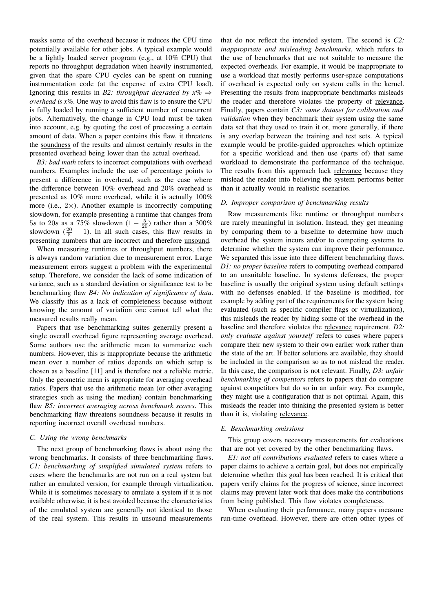masks some of the overhead because it reduces the CPU time potentially available for other jobs. A typical example would be a lightly loaded server program (e.g., at 10% CPU) that reports no throughput degradation when heavily instrumented, given that the spare CPU cycles can be spent on running instrumentation code (at the expense of extra CPU load). Ignoring this results in *B2: throughput degraded by*  $x\% \Rightarrow$ *overhead is x%*. One way to avoid this flaw is to ensure the CPU is fully loaded by running a sufficient number of concurrent jobs. Alternatively, the change in CPU load must be taken into account, e.g. by quoting the cost of processing a certain amount of data. When a paper contains this flaw, it threatens the soundness of the results and almost certainly results in the presented overhead being lower than the actual overhead.

*B3: bad math* refers to incorrect computations with overhead numbers. Examples include the use of percentage points to present a difference in overhead, such as the case where the difference between 10% overhead and 20% overhead is presented as 10% more overhead, while it is actually 100% more (i.e.,  $2\times$ ). Another example is incorrectly computing slowdown, for example presenting a runtime that changes from 5s to 20s as a 75% slowdown  $(1 - \frac{5}{20})$  rather than a 300% slowdown  $(\frac{20}{5} - 1)$ . In all such cases, this flaw results in presenting numbers that are incorrect and therefore unsound.

When measuring runtimes or throughput numbers, there is always random variation due to measurement error. Large measurement errors suggest a problem with the experimental setup. Therefore, we consider the lack of some indication of variance, such as a standard deviation or significance test to be benchmarking flaw *B4: No indication of significance of data*. We classify this as a lack of completeness because without knowing the amount of variation one cannot tell what the measured results really mean.

Papers that use benchmarking suites generally present a single overall overhead figure representing average overhead. Some authors use the arithmetic mean to summarize such numbers. However, this is inappropriate because the arithmetic mean over a number of ratios depends on which setup is chosen as a baseline [11] and is therefore not a reliable metric. Only the geometric mean is appropriate for averaging overhead ratios. Papers that use the arithmetic mean (or other averaging strategies such as using the median) contain benchmarking flaw *B5: incorrect averaging across benchmark scores*. This benchmarking flaw threatens soundness because it results in reporting incorrect overall overhead numbers.

#### *C. Using the wrong benchmarks*

The next group of benchmarking flaws is about using the wrong benchmarks. It consists of three benchmarking flaws. *C1: benchmarking of simplified simulated system* refers to cases where the benchmarks are not run on a real system but rather an emulated version, for example through virtualization. While it is sometimes necessary to emulate a system if it is not available otherwise, it is best avoided because the characteristics of the emulated system are generally not identical to those of the real system. This results in unsound measurements

that do not reflect the intended system. The second is *C2: inappropriate and misleading benchmarks*, which refers to the use of benchmarks that are not suitable to measure the expected overheads. For example, it would be inappropriate to use a workload that mostly performs user-space computations if overhead is expected only on system calls in the kernel. Presenting the results from inappropriate benchmarks misleads the reader and therefore violates the property of relevance. Finally, papers contain *C3: same dataset for calibration and validation* when they benchmark their system using the same data set that they used to train it or, more generally, if there is any overlap between the training and test sets. A typical example would be profile-guided approaches which optimize for a specific workload and then use (parts of) that same workload to demonstrate the performance of the technique. The results from this approach lack relevance because they mislead the reader into believing the system performs better than it actually would in realistic scenarios.

## *D. Improper comparison of benchmarking results*

Raw measurements like runtime or throughput numbers are rarely meaningful in isolation. Instead, they get meaning by comparing them to a baseline to determine how much overhead the system incurs and/or to competing systems to determine whether the system can improve their performance. We separated this issue into three different benchmarking flaws. *D1: no proper baseline* refers to computing overhead compared to an unsuitable baseline. In systems defenses, the proper baseline is usually the original system using default settings with no defenses enabled. If the baseline is modified, for example by adding part of the requirements for the system being evaluated (such as specific compiler flags or virtualization), this misleads the reader by hiding some of the overhead in the baseline and therefore violates the relevance requirement. *D2: only evaluate against yourself* refers to cases where papers compare their new system to their own earlier work rather than the state of the art. If better solutions are available, they should be included in the comparison so as to not mislead the reader. In this case, the comparison is not relevant. Finally, *D3: unfair benchmarking of competitors* refers to papers that do compare against competitors but do so in an unfair way. For example, they might use a configuration that is not optimal. Again, this misleads the reader into thinking the presented system is better than it is, violating relevance.

# *E. Benchmarking omissions*

This group covers necessary measurements for evaluations that are not yet covered by the other benchmarking flaws.

*E1: not all contributions evaluated* refers to cases where a paper claims to achieve a certain goal, but does not empirically determine whether this goal has been reached. It is critical that papers verify claims for the progress of science, since incorrect claims may prevent later work that does make the contributions from being published. This flaw violates completeness.

When evaluating their performance, many papers measure run-time overhead. However, there are often other types of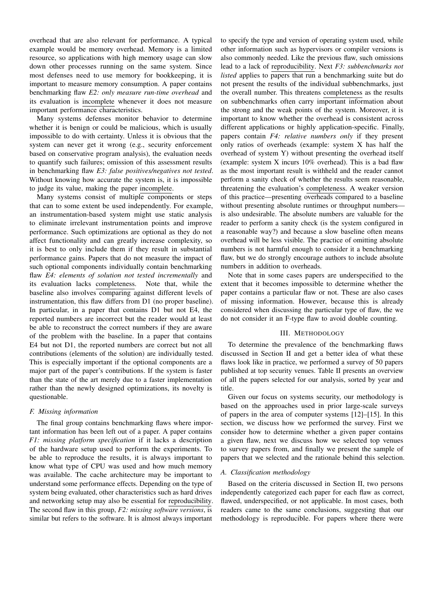overhead that are also relevant for performance. A typical example would be memory overhead. Memory is a limited resource, so applications with high memory usage can slow down other processes running on the same system. Since most defenses need to use memory for bookkeeping, it is important to measure memory consumption. A paper contains benchmarking flaw *E2: only measure run-time overhead* and its evaluation is incomplete whenever it does not measure important performance characteristics.

Many systems defenses monitor behavior to determine whether it is benign or could be malicious, which is usually impossible to do with certainty. Unless it is obvious that the system can never get it wrong (e.g., security enforcement based on conservative program analysis), the evaluation needs to quantify such failures; omission of this assessment results in benchmarking flaw *E3: false positives/negatives not tested*. Without knowing how accurate the system is, it is impossible to judge its value, making the paper incomplete.

Many systems consist of multiple components or steps that can to some extent be used independently. For example, an instrumentation-based system might use static analysis to eliminate irrelevant instrumentation points and improve performance. Such optimizations are optional as they do not affect functionality and can greatly increase complexity, so it is best to only include them if they result in substantial performance gains. Papers that do not measure the impact of such optional components individually contain benchmarking flaw *E4: elements of solution not tested incrementally* and its evaluation lacks completeness. Note that, while the baseline also involves comparing against different levels of instrumentation, this flaw differs from D1 (no proper baseline). In particular, in a paper that contains D1 but not E4, the reported numbers are incorrect but the reader would at least be able to reconstruct the correct numbers if they are aware of the problem with the baseline. In a paper that contains E4 but not D1, the reported numbers are correct but not all contributions (elements of the solution) are individually tested. This is especially important if the optional components are a major part of the paper's contributions. If the system is faster than the state of the art merely due to a faster implementation rather than the newly designed optimizations, its novelty is questionable.

#### *F. Missing information*

The final group contains benchmarking flaws where important information has been left out of a paper. A paper contains *F1: missing platform specification* if it lacks a description of the hardware setup used to perform the experiments. To be able to reproduce the results, it is always important to know what type of CPU was used and how much memory was available. The cache architecture may be important to understand some performance effects. Depending on the type of system being evaluated, other characteristics such as hard drives and networking setup may also be essential for reproducibility. The second flaw in this group, *F2: missing software versions*, is similar but refers to the software. It is almost always important

to specify the type and version of operating system used, while other information such as hypervisors or compiler versions is also commonly needed. Like the previous flaw, such omissions lead to a lack of reproducibility. Next *F3: subbenchmarks not listed* applies to papers that run a benchmarking suite but do not present the results of the individual subbenchmarks, just the overall number. This threatens completeness as the results on subbenchmarks often carry important information about the strong and the weak points of the system. Moreover, it is important to know whether the overhead is consistent across different applications or highly application-specific. Finally, papers contain *F4: relative numbers only* if they present only ratios of overheads (example: system X has half the overhead of system Y) without presenting the overhead itself (example: system X incurs 10% overhead). This is a bad flaw as the most important result is withheld and the reader cannot perform a sanity check of whether the results seem reasonable, threatening the evaluation's completeness. A weaker version of this practice—presenting overheads compared to a baseline without presenting absolute runtimes or throughput numbers is also undesirable. The absolute numbers are valuable for the reader to perform a sanity check (is the system configured in a reasonable way?) and because a slow baseline often means overhead will be less visible. The practice of omitting absolute numbers is not harmful enough to consider it a benchmarking flaw, but we do strongly encourage authors to include absolute numbers in addition to overheads.

Note that in some cases papers are underspecified to the extent that it becomes impossible to determine whether the paper contains a particular flaw or not. These are also cases of missing information. However, because this is already considered when discussing the particular type of flaw, the we do not consider it an F-type flaw to avoid double counting.

#### III. METHODOLOGY

To determine the prevalence of the benchmarking flaws discussed in Section II and get a better idea of what these flaws look like in practice, we performed a survey of 50 papers published at top security venues. Table II presents an overview of all the papers selected for our analysis, sorted by year and title.

Given our focus on systems security, our methodology is based on the approaches used in prior large-scale surveys of papers in the area of computer systems [12]–[15]. In this section, we discuss how we performed the survey. First we consider how to determine whether a given paper contains a given flaw, next we discuss how we selected top venues to survey papers from, and finally we present the sample of papers that we selected and the rationale behind this selection.

#### *A. Classification methodology*

Based on the criteria discussed in Section II, two persons independently categorized each paper for each flaw as correct, flawed, underspecified, or not applicable. In most cases, both readers came to the same conclusions, suggesting that our methodology is reproducible. For papers where there were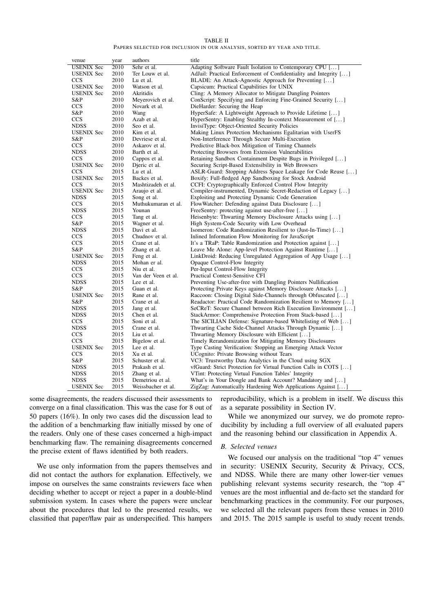TABLE II

PAPERS SELECTED FOR INCLUSION IN OUR ANALYSIS, SORTED BY YEAR AND TITLE.

| venue             | year | authors             | title                                                             |
|-------------------|------|---------------------|-------------------------------------------------------------------|
| <b>USENIX Sec</b> | 2010 | Sehr et al.         | Adapting Software Fault Isolation to Contemporary CPU []          |
| <b>USENIX Sec</b> | 2010 | Ter Louw et al.     | AdJail: Practical Enforcement of Confidentiality and Integrity [] |
| <b>CCS</b>        | 2010 | Lu et al.           | BLADE: An Attack-Agnostic Approach for Preventing []              |
| <b>USENIX</b> Sec | 2010 | Watson et al.       | Capsicum: Practical Capabilities for UNIX                         |
| <b>USENIX Sec</b> | 2010 | Akritidis           | Cling: A Memory Allocator to Mitigate Dangling Pointers           |
| S&P               | 2010 | Meyerovich et al.   | ConScript: Specifying and Enforcing Fine-Grained Security []      |
| <b>CCS</b>        | 2010 | Novark et al.       | DieHarder: Securing the Heap                                      |
| S&P               | 2010 | Wang                | HyperSafe: A Lightweight Approach to Provide Lifetime []          |
| <b>CCS</b>        | 2010 | Azab et al.         | HyperSentry: Enabling Stealthy In-context Measurement of []       |
| <b>NDSS</b>       | 2010 | Seo et al.          | InvisiType: Object-Oriented Security Policies                     |
| <b>USENIX Sec</b> | 2010 | Kim et al.          | Making Linux Protection Mechanisms Egalitarian with UserFS        |
| S&P               | 2010 | Devriese et al.     | Non-Interference Through Secure Multi-Execution                   |
| <b>CCS</b>        | 2010 | Askarov et al.      | Predictive Black-box Mitigation of Timing Channels                |
| <b>NDSS</b>       | 2010 | Barth et al.        | Protecting Browsers from Extension Vulnerabilities                |
| <b>CCS</b>        | 2010 | Cappos et al.       | Retaining Sandbox Containment Despite Bugs in Privileged []       |
| <b>USENIX Sec</b> | 2010 | Dieric et al.       | Securing Script-Based Extensibility in Web Browsers               |
| <b>CCS</b>        | 2015 | Lu et al.           | ASLR-Guard: Stopping Address Space Leakage for Code Reuse []      |
| <b>USENIX</b> Sec | 2015 | Backes et al.       | Boxify: Full-fledged App Sandboxing for Stock Android             |
| <b>CCS</b>        | 2015 | Mashtizadeh et al.  | CCFI: Cryptographically Enforced Control Flow Integrity           |
| <b>USENIX</b> Sec | 2015 | Araujo et al.       | Compiler-instrumented, Dynamic Secret-Redaction of Legacy []      |
| <b>NDSS</b>       | 2015 | Song et al.         | Exploiting and Protecting Dynamic Code Generation                 |
| <b>CCS</b>        | 2015 | Muthukumaran et al. | FlowWatcher: Defending against Data Disclosure []                 |
| <b>NDSS</b>       | 2015 | Younan              | FreeSentry: protecting against use-after-free []                  |
| <b>CCS</b>        | 2015 | Tang et al.         | Heisenbyte: Thwarting Memory Disclosure Attacks using []          |
| S&P               | 2015 | Wagner et al.       | High System-Code Security with Low Overhead                       |
| <b>NDSS</b>       | 2015 | Davi et al.         | Isomeron: Code Randomization Resilient to (Just-In-Time) []       |
| <b>CCS</b>        | 2015 | Chudnov et al.      | Inlined Information Flow Monitoring for JavaScript                |
| <b>CCS</b>        | 2015 | Crane et al.        | It's a TRaP: Table Randomization and Protection against []        |
| S&P               | 2015 | Zhang et al.        | Leave Me Alone: App-level Protection Against Runtime []           |
| <b>USENIX Sec</b> | 2015 | Feng et al.         | LinkDroid: Reducing Unregulated Aggregation of App Usage []       |
| <b>NDSS</b>       | 2015 | Mohan er al.        | Opaque Control-Flow Integrity                                     |
| <b>CCS</b>        | 2015 | Niu et al.          | Per-Input Control-Flow Integrity                                  |
| <b>CCS</b>        | 2015 | Van der Veen et al. | Practical Context-Sensitive CFI                                   |
| <b>NDSS</b>       | 2015 | Lee et al.          | Preventing Use-after-free with Dangling Pointers Nullification    |
| S&P               | 2015 | Guan et al.         | Protecting Private Keys against Memory Disclosure Attacks []      |
| <b>USENIX</b> Sec | 2015 | Rane et al.         | Raccoon: Closing Digital Side-Channels through Obfuscated []      |
| S&P               | 2015 | Crane et al.        | Readactor: Practical Code Randomization Resilient to Memory []    |
| <b>NDSS</b>       | 2015 | Jang et al.         | SeCReT: Secure Channel between Rich Execution Environment []      |
| <b>NDSS</b>       | 2015 | Chen et al.         | StackArmor: Comprehensive Protection From Stack-based []          |
| <b>CCS</b>        | 2015 | Soni et al.         | The SICILIAN Defense: Signature-based Whitelisting of Web []      |
| <b>NDSS</b>       | 2015 | Crane et al.        | Thwarting Cache Side-Channel Attacks Through Dynamic []           |
| <b>CCS</b>        | 2015 | Liu et al.          | Thwarting Memory Disclosure with Efficient []                     |
| <b>CCS</b>        | 2015 | Bigelow et al.      | Timely Rerandomization for Mitigating Memory Disclosures          |
| <b>USENIX</b> Sec | 2015 | Lee et al.          | Type Casting Verification: Stopping an Emerging Attack Vector     |
| <b>CCS</b>        | 2015 | Xu et al.           | UCognito: Private Browsing without Tears                          |
| S&P               | 2015 | Schuster et al.     | VC3: Trustworthy Data Analytics in the Cloud using SGX            |
| <b>NDSS</b>       | 2015 | Prakash et al.      | vfGuard: Strict Protection for Virtual Function Calls in COTS []  |
| <b>NDSS</b>       | 2015 | Zhang et al.        | VTint: Protecting Virtual Function Tables' Integrity              |
| <b>NDSS</b>       | 2015 | Demetriou et al.    | What's in Your Dongle and Bank Account? Mandatory and []          |
| <b>USENIX</b> Sec | 2015 | Weissbacher et al.  | ZigZag: Automatically Hardening Web Applications Against []       |

some disagreements, the readers discussed their assessments to converge on a final classification. This was the case for 8 out of 50 papers (16%). In only two cases did the discussion lead to the addition of a benchmarking flaw initially missed by one of the readers. Only one of these cases concerned a high-impact benchmarking flaw. The remaining disagreements concerned the precise extent of flaws identified by both readers.

We use only information from the papers themselves and did not contact the authors for explanation. Effectively, we impose on ourselves the same constraints reviewers face when deciding whether to accept or reject a paper in a double-blind submission system. In cases where the papers were unclear about the procedures that led to the presented results, we classified that paper/flaw pair as underspecified. This hampers

reproducibility, which is a problem in itself. We discuss this as a separate possibility in Section IV.

While we anonymized our survey, we do promote reproducibility by including a full overview of all evaluated papers and the reasoning behind our classification in Appendix A.

#### *B. Selected venues*

We focused our analysis on the traditional "top 4" venues in security: USENIX Security, Security & Privacy, CCS, and NDSS. While there are many other lower-tier venues publishing relevant systems security research, the "top 4" venues are the most influential and de-facto set the standard for benchmarking practices in the community. For our purposes, we selected all the relevant papers from these venues in 2010 and 2015. The 2015 sample is useful to study recent trends.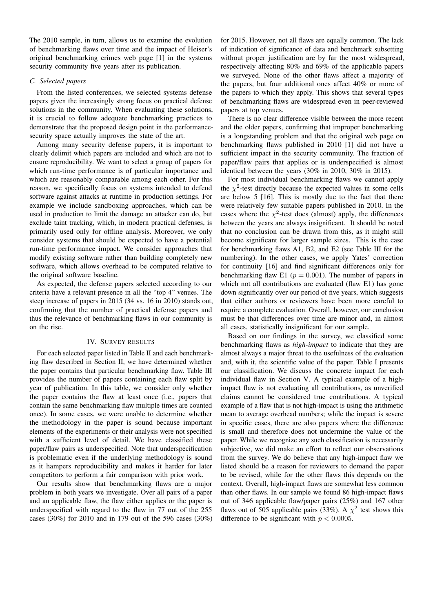The 2010 sample, in turn, allows us to examine the evolution of benchmarking flaws over time and the impact of Heiser's original benchmarking crimes web page [1] in the systems security community five years after its publication.

## *C. Selected papers*

From the listed conferences, we selected systems defense papers given the increasingly strong focus on practical defense solutions in the community. When evaluating these solutions, it is crucial to follow adequate benchmarking practices to demonstrate that the proposed design point in the performancesecurity space actually improves the state of the art.

Among many security defense papers, it is important to clearly delimit which papers are included and which are not to ensure reproducibility. We want to select a group of papers for which run-time performance is of particular importance and which are reasonably comparable among each other. For this reason, we specifically focus on systems intended to defend software against attacks at runtime in production settings. For example we include sandboxing approaches, which can be used in production to limit the damage an attacker can do, but exclude taint tracking, which, in modern practical defenses, is primarily used only for offline analysis. Moreover, we only consider systems that should be expected to have a potential run-time performance impact. We consider approaches that modify existing software rather than building completely new software, which allows overhead to be computed relative to the original software baseline.

As expected, the defense papers selected according to our criteria have a relevant presence in all the "top 4" venues. The steep increase of papers in 2015 (34 vs. 16 in 2010) stands out, confirming that the number of practical defense papers and thus the relevance of benchmarking flaws in our community is on the rise.

## IV. SURVEY RESULTS

For each selected paper listed in Table II and each benchmarking flaw described in Section II, we have determined whether the paper contains that particular benchmarking flaw. Table III provides the number of papers containing each flaw split by year of publication. In this table, we consider only whether the paper contains the flaw at least once (i.e., papers that contain the same benchmarking flaw multiple times are counted once). In some cases, we were unable to determine whether the methodology in the paper is sound because important elements of the experiments or their analysis were not specified with a sufficient level of detail. We have classified these paper/flaw pairs as underspecified. Note that underspecification is problematic even if the underlying methodology is sound as it hampers reproducibility and makes it harder for later competitors to perform a fair comparison with prior work.

Our results show that benchmarking flaws are a major problem in both years we investigate. Over all pairs of a paper and an applicable flaw, the flaw either applies or the paper is underspecified with regard to the flaw in 77 out of the 255 cases (30%) for 2010 and in 179 out of the 596 cases (30%)

for 2015. However, not all flaws are equally common. The lack of indication of significance of data and benchmark subsetting without proper justification are by far the most widespread, respectively affecting 80% and 69% of the applicable papers we surveyed. None of the other flaws affect a majority of the papers, but four additional ones affect 40% or more of the papers to which they apply. This shows that several types of benchmarking flaws are widespread even in peer-reviewed papers at top venues.

There is no clear difference visible between the more recent and the older papers, confirming that improper benchmarking is a longstanding problem and that the original web page on benchmarking flaws published in 2010 [1] did not have a sufficient impact in the security community. The fraction of paper/flaw pairs that applies or is underspecified is almost identical between the years (30% in 2010, 30% in 2015).

For most individual benchmarking flaws we cannot apply the  $\chi^2$ -test directly because the expected values in some cells are below 5 [16]. This is mostly due to the fact that there were relatively few suitable papers published in 2010. In the cases where the  $\chi^2$ -test does (almost) apply, the differences between the years are always insignificant. It should be noted that no conclusion can be drawn from this, as it might still become significant for larger sample sizes. This is the case for benchmarking flaws A1, B2, and E2 (see Table III for the numbering). In the other cases, we apply Yates' correction for continuity [16] and find significant differences only for benchmarking flaw E1 ( $p = 0.001$ ). The number of papers in which not all contributions are evaluated (flaw E1) has gone down significantly over our period of five years, which suggests that either authors or reviewers have been more careful to require a complete evaluation. Overall, however, our conclusion must be that differences over time are minor and, in almost all cases, statistically insignificant for our sample.

Based on our findings in the survey, we classified some benchmarking flaws as *high-impact* to indicate that they are almost always a major threat to the usefulness of the evaluation and, with it, the scientific value of the paper. Table I presents our classification. We discuss the concrete impact for each individual flaw in Section V. A typical example of a highimpact flaw is not evaluating all contributions, as unverified claims cannot be considered true contributions. A typical example of a flaw that is not high-impact is using the arithmetic mean to average overhead numbers; while the impact is severe in specific cases, there are also papers where the difference is small and therefore does not undermine the value of the paper. While we recognize any such classification is necessarily subjective, we did make an effort to reflect our observations from the survey. We do believe that any high-impact flaw we listed should be a reason for reviewers to demand the paper to be revised, while for the other flaws this depends on the context. Overall, high-impact flaws are somewhat less common than other flaws. In our sample we found 86 high-impact flaws out of 346 applicable flaw/paper pairs (25%) and 167 other flaws out of 505 applicable pairs (33%). A  $\chi^2$  test shows this difference to be significant with  $p < 0.0005$ .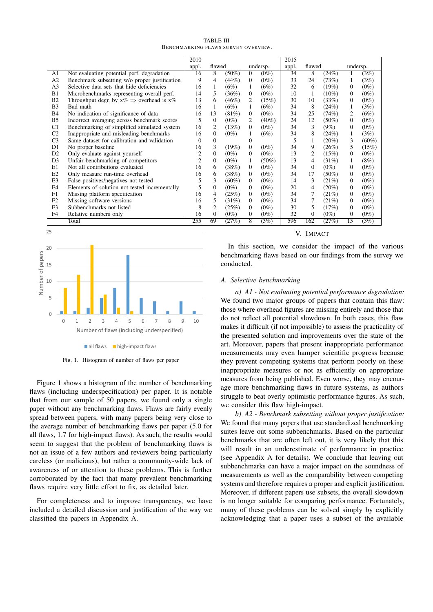| <b>TABLE III</b>                    |  |  |  |  |  |  |  |  |
|-------------------------------------|--|--|--|--|--|--|--|--|
| BENCHMARKING FLAWS SURVEY OVERVIEW. |  |  |  |  |  |  |  |  |

|                |                                                         | 2010           |                    |          |                |          | 2015 |                |          |                 |          |
|----------------|---------------------------------------------------------|----------------|--------------------|----------|----------------|----------|------|----------------|----------|-----------------|----------|
|                |                                                         | appl.          | flawed<br>undersp. |          | appl.          | flawed   |      | undersp.       |          |                 |          |
| A1             | Not evaluating potential perf. degradation              | 16             | 8                  | $(50\%)$ | $\overline{0}$ | $(0\%)$  | 34   | 8              | (24%)    | 1               | (3%)     |
| A2             | Benchmark subsetting w/o proper justification           | 9              | 4                  | (44%)    | 0              | $(0\%)$  | 33   | 24             | (73%)    | 1               | (3%)     |
| A <sub>3</sub> | Selective data sets that hide deficiencies              | 16             |                    | $(6\%)$  |                | (6%)     | 32   | 6              | $(19\%)$ | $\Omega$        | $(0\%)$  |
| B1             | Microbenchmarks representing overall perf.              | 14             | 5                  | $(36\%)$ | 0              | $(0\%)$  | 10   |                | $(10\%)$ | $\Omega$        | $(0\%)$  |
| <b>B2</b>      | Throughput degr. by $x\% \Rightarrow$ overhead is $x\%$ | 13             | 6                  | $(46\%)$ | 2              | (15%)    | 30   | 10             | (33%)    | $\mathbf{0}$    | $(0\%)$  |
| B <sub>3</sub> | Bad math                                                | 16             |                    | $(6\%)$  |                | (6%)     | 34   | 8              | (24%)    | 1               | (3%)     |
| <b>B4</b>      | No indication of significance of data                   | 16             | 13                 | $(81\%)$ | 0              | $(0\%)$  | 34   | 25             | (74%)    | 2               | (6%)     |
| B <sub>5</sub> | Incorrect averaging across benchmark scores             | 5              | $\left($           | $(0\%)$  | 2              | $(40\%)$ | 24   | 12             | $(50\%)$ | $\mathbf{0}$    | $(0\%)$  |
| C <sub>1</sub> | Benchmarking of simplified simulated system             | 16             | 2                  | (13%)    | 0              | $(0\%)$  | 34   | 3              | $(9\%)$  | $\mathbf{0}$    | $(0\%)$  |
| C <sub>2</sub> | Inappropriate and misleading benchmarks                 | 16             | $\mathbf{0}$       | $(0\%)$  |                | (6%)     | 34   | 8              | (24%)    | 1               | (3%)     |
| C <sub>3</sub> | Same dataset for calibration and validation             | $\theta$       | $\Omega$           |          | 0              |          | 5    |                | $(20\%)$ | 3               | $(60\%)$ |
| D1             | No proper baseline                                      | 16             | 3                  | $(19\%)$ | $\overline{0}$ | $(0\%)$  | 34   | 9              | (26%)    | 5               | (15%)    |
| D <sub>2</sub> | Only evaluate against yourself                          | $\overline{2}$ | $\Omega$           | $(0\%)$  | 0              | $(0\%)$  | 13   | $\overline{c}$ | (15%)    | $\mathbf{0}$    | $(0\%)$  |
| D <sub>3</sub> | Unfair benchmarking of competitors                      | $\overline{c}$ | $\Omega$           | $(0\%)$  |                | $(50\%)$ | 13   | 4              | $(31\%)$ | 1               | $(8\%)$  |
| E1             | Not all contributions evaluated                         | 16             | 6                  | (38%)    | 0              | $(0\%)$  | 34   | $\Omega$       | $(0\%)$  | $\mathbf{0}$    | $(0\%)$  |
| E2             | Only measure run-time overhead                          | 16             | 6                  | (38%)    | 0              | $(0\%)$  | 34   | 17             | $(50\%)$ | $\mathbf{0}$    | $(0\%)$  |
| E3             | False positives/negatives not tested                    | 5              | 3                  | $(60\%)$ | 0              | $(0\%)$  | 14   | 3              | (21%)    | $\mathbf{0}$    | $(0\%)$  |
| E <sub>4</sub> | Elements of solution not tested incrementally           | 5              | $\Omega$           | $(0\%)$  | 0              | $(0\%)$  | 20   | 4              | $(20\%)$ | $\mathbf{0}$    | $(0\%)$  |
| F1             | Missing platform specification                          | 16             | 4                  | (25%)    | 0              | $(0\%)$  | 34   |                | (21%)    | $\mathbf{0}$    | $(0\%)$  |
| F <sub>2</sub> | Missing software versions                               | 16             | 5                  | $(31\%)$ | 0              | $(0\%)$  | 34   |                | (21%)    | $\mathbf{0}$    | $(0\%)$  |
| F <sub>3</sub> | Subbenchmarks not listed                                | 8              | 2                  | (25%)    | 0              | $(0\%)$  | 30   | 5              | (17%)    | $\mathbf{0}$    | $(0\%)$  |
| F <sub>4</sub> | Relative numbers only                                   | 16             | $\mathbf{0}$       | $(0\%)$  | 0              | $(0\%)$  | 32   | $\Omega$       | $(0\%)$  | $\mathbf{0}$    | $(0\%)$  |
|                | Total                                                   | 255            | 69                 | (27%)    | 8              | (3%)     | 596  | 162            | (27%)    | $\overline{15}$ | (3%)     |



Fig. 1. Histogram of number of flaws per paper

Figure 1 shows a histogram of the number of benchmarking flaws (including underspecification) per paper. It is notable that from our sample of 50 papers, we found only a single paper without any benchmarking flaws. Flaws are fairly evenly spread between papers, with many papers being very close to the average number of benchmarking flaws per paper (5.0 for all flaws, 1.7 for high-impact flaws). As such, the results would seem to suggest that the problem of benchmarking flaws is not an issue of a few authors and reviewers being particularly careless (or malicious), but rather a community-wide lack of awareness of or attention to these problems. This is further corroborated by the fact that many prevalent benchmarking flaws require very little effort to fix, as detailed later.

For completeness and to improve transparency, we have included a detailed discussion and justification of the way we classified the papers in Appendix A.

V. IMPACT

In this section, we consider the impact of the various benchmarking flaws based on our findings from the survey we conducted.

## *A. Selective benchmarking*

*a) A1 - Not evaluating potential performance degradation:* We found two major groups of papers that contain this flaw: those where overhead figures are missing entirely and those that do not reflect all potential slowdown. In both cases, this flaw makes it difficult (if not impossible) to assess the practicality of the presented solution and improvements over the state of the art. Moreover, papers that present inappropriate performance measurements may even hamper scientific progress because they prevent competing systems that perform poorly on these inappropriate measures or not as efficiently on appropriate measures from being published. Even worse, they may encourage more benchmarking flaws in future systems, as authors struggle to beat overly optimistic performance figures. As such, we consider this flaw high-impact.

*b) A2 - Benchmark subsetting without proper justification:* We found that many papers that use standardized benchmarking suites leave out some subbenchmarks. Based on the particular benchmarks that are often left out, it is very likely that this will result in an underestimate of performance in practice (see Appendix A for details). We conclude that leaving out subbenchmarks can have a major impact on the soundness of measurements as well as the comparability between competing systems and therefore requires a proper and explicit justification. Moreover, if different papers use subsets, the overall slowdown is no longer suitable for comparing performance. Fortunately, many of these problems can be solved simply by explicitly acknowledging that a paper uses a subset of the available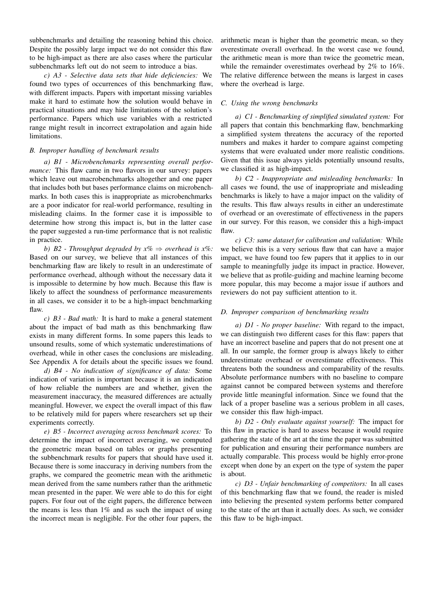subbenchmarks and detailing the reasoning behind this choice. Despite the possibly large impact we do not consider this flaw to be high-impact as there are also cases where the particular subbenchmarks left out do not seem to introduce a bias.

*c) A3 - Selective data sets that hide deficiencies:* We found two types of occurrences of this benchmarking flaw, with different impacts. Papers with important missing variables make it hard to estimate how the solution would behave in practical situations and may hide limitations of the solution's performance. Papers which use variables with a restricted range might result in incorrect extrapolation and again hide limitations.

# *B. Improper handling of benchmark results*

*a) B1 - Microbenchmarks representing overall performance:* This flaw came in two flavors in our survey: papers which leave out macrobenchmarks altogether and one paper that includes both but bases performance claims on microbenchmarks. In both cases this is inappropriate as microbenchmarks are a poor indicator for real-world performance, resulting in misleading claims. In the former case it is impossible to determine how strong this impact is, but in the latter case the paper suggested a run-time performance that is not realistic in practice.

*b) B2 - Throughput degraded by x%* ⇒ *overhead is x%:* Based on our survey, we believe that all instances of this benchmarking flaw are likely to result in an underestimate of performance overhead, although without the necessary data it is impossible to determine by how much. Because this flaw is likely to affect the soundness of performance measurements in all cases, we consider it to be a high-impact benchmarking flaw.

*c) B3 - Bad math:* It is hard to make a general statement about the impact of bad math as this benchmarking flaw exists in many different forms. In some papers this leads to unsound results, some of which systematic underestimations of overhead, while in other cases the conclusions are misleading. See Appendix A for details about the specific issues we found.

*d) B4 - No indication of significance of data:* Some indication of variation is important because it is an indication of how reliable the numbers are and whether, given the measurement inaccuracy, the measured differences are actually meaningful. However, we expect the overall impact of this flaw to be relatively mild for papers where researchers set up their experiments correctly.

*e) B5 - Incorrect averaging across benchmark scores:* To determine the impact of incorrect averaging, we computed the geometric mean based on tables or graphs presenting the subbenchmark results for papers that should have used it. Because there is some inaccuracy in deriving numbers from the graphs, we compared the geometric mean with the arithmetic mean derived from the same numbers rather than the arithmetic mean presented in the paper. We were able to do this for eight papers. For four out of the eight papers, the difference between the means is less than 1% and as such the impact of using the incorrect mean is negligible. For the other four papers, the

arithmetic mean is higher than the geometric mean, so they overestimate overall overhead. In the worst case we found, the arithmetic mean is more than twice the geometric mean, while the remainder overestimates overhead by 2% to 16%. The relative difference between the means is largest in cases where the overhead is large.

# *C. Using the wrong benchmarks*

*a) C1 - Benchmarking of simplified simulated system:* For all papers that contain this benchmarking flaw, benchmarking a simplified system threatens the accuracy of the reported numbers and makes it harder to compare against competing systems that were evaluated under more realistic conditions. Given that this issue always yields potentially unsound results, we classified it as high-impact.

*b) C2 - Inappropriate and misleading benchmarks:* In all cases we found, the use of inappropriate and misleading benchmarks is likely to have a major impact on the validity of the results. This flaw always results in either an underestimate of overhead or an overestimate of effectiveness in the papers in our survey. For this reason, we consider this a high-impact flaw.

*c) C3: same dataset for calibration and validation:* While we believe this is a very serious flaw that can have a major impact, we have found too few papers that it applies to in our sample to meaningfully judge its impact in practice. However, we believe that as profile-guiding and machine learning become more popular, this may become a major issue if authors and reviewers do not pay sufficient attention to it.

# *D. Improper comparison of benchmarking results*

*a) D1 - No proper baseline:* With regard to the impact, we can distinguish two different cases for this flaw: papers that have an incorrect baseline and papers that do not present one at all. In our sample, the former group is always likely to either underestimate overhead or overestimate effectiveness. This threatens both the soundness and comparability of the results. Absolute performance numbers with no baseline to compare against cannot be compared between systems and therefore provide little meaningful information. Since we found that the lack of a proper baseline was a serious problem in all cases, we consider this flaw high-impact.

*b) D2 - Only evaluate against yourself:* The impact for this flaw in practice is hard to assess because it would require gathering the state of the art at the time the paper was submitted for publication and ensuring their performance numbers are actually comparable. This process would be highly error-prone except when done by an expert on the type of system the paper is about.

*c) D3 - Unfair benchmarking of competitors:* In all cases of this benchmarking flaw that we found, the reader is misled into believing the presented system performs better compared to the state of the art than it actually does. As such, we consider this flaw to be high-impact.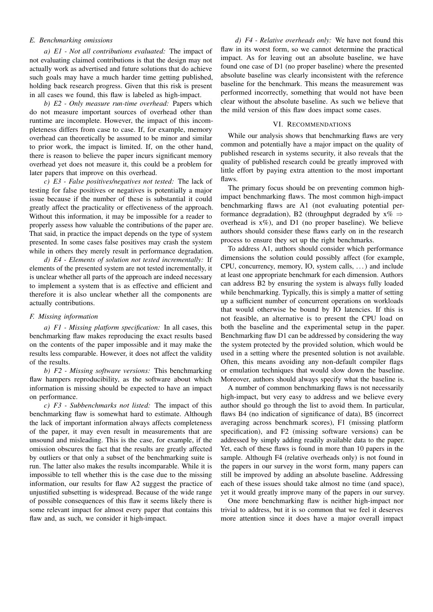## *E. Benchmarking omissions*

*a) E1 - Not all contributions evaluated:* The impact of not evaluating claimed contributions is that the design may not actually work as advertised and future solutions that do achieve such goals may have a much harder time getting published, holding back research progress. Given that this risk is present in all cases we found, this flaw is labeled as high-impact.

*b) E2 - Only measure run-time overhead:* Papers which do not measure important sources of overhead other than runtime are incomplete. However, the impact of this incompleteness differs from case to case. If, for example, memory overhead can theoretically be assumed to be minor and similar to prior work, the impact is limited. If, on the other hand, there is reason to believe the paper incurs significant memory overhead yet does not measure it, this could be a problem for later papers that improve on this overhead.

*c) E3 - False positives/negatives not tested:* The lack of testing for false positives or negatives is potentially a major issue because if the number of these is substantial it could greatly affect the practicality or effectiveness of the approach. Without this information, it may be impossible for a reader to properly assess how valuable the contributions of the paper are. That said, in practice the impact depends on the type of system presented. In some cases false positives may crash the system while in others they merely result in performance degradation.

*d) E4 - Elements of solution not tested incrementally:* If elements of the presented system are not tested incrementally, it is unclear whether all parts of the approach are indeed necessary to implement a system that is as effective and efficient and therefore it is also unclear whether all the components are actually contributions.

## *F. Missing information*

*a) F1 - Missing platform specification:* In all cases, this benchmarking flaw makes reproducing the exact results based on the contents of the paper impossible and it may make the results less comparable. However, it does not affect the validity of the results.

*b) F2 - Missing software versions:* This benchmarking flaw hampers reproducibility, as the software about which information is missing should be expected to have an impact on performance.

*c) F3 - Subbenchmarks not listed:* The impact of this benchmarking flaw is somewhat hard to estimate. Although the lack of important information always affects completeness of the paper, it may even result in measurements that are unsound and misleading. This is the case, for example, if the omission obscures the fact that the results are greatly affected by outliers or that only a subset of the benchmarking suite is run. The latter also makes the results incomparable. While it is impossible to tell whether this is the case due to the missing information, our results for flaw A2 suggest the practice of unjustified subsetting is widespread. Because of the wide range of possible consequences of this flaw it seems likely there is some relevant impact for almost every paper that contains this flaw and, as such, we consider it high-impact.

*d) F4 - Relative overheads only:* We have not found this flaw in its worst form, so we cannot determine the practical impact. As for leaving out an absolute baseline, we have found one case of D1 (no proper baseline) where the presented absolute baseline was clearly inconsistent with the reference baseline for the benchmark. This means the measurement was performed incorrectly, something that would not have been clear without the absolute baseline. As such we believe that the mild version of this flaw does impact some cases.

## VI. RECOMMENDATIONS

While our analysis shows that benchmarking flaws are very common and potentially have a major impact on the quality of published research in systems security, it also reveals that the quality of published research could be greatly improved with little effort by paying extra attention to the most important flaws.

The primary focus should be on preventing common highimpact benchmarking flaws. The most common high-impact benchmarking flaws are A1 (not evaluating potential performance degradation), B2 (throughput degraded by  $x\% \Rightarrow$ overhead is  $x\%$ ), and D1 (no proper baseline). We believe authors should consider these flaws early on in the research process to ensure they set up the right benchmarks.

To address A1, authors should consider which performance dimensions the solution could possibly affect (for example, CPU, concurrency, memory, IO, system calls, . . . ) and include at least one appropriate benchmark for each dimension. Authors can address B2 by ensuring the system is always fully loaded while benchmarking. Typically, this is simply a matter of setting up a sufficient number of concurrent operations on workloads that would otherwise be bound by IO latencies. If this is not feasible, an alternative is to present the CPU load on both the baseline and the experimental setup in the paper. Benchmarking flaw D1 can be addressed by considering the way the system protected by the provided solution, which would be used in a setting where the presented solution is not available. Often, this means avoiding any non-default compiler flags or emulation techniques that would slow down the baseline. Moreover, authors should always specify what the baseline is.

A number of common benchmarking flaws is not necessarily high-impact, but very easy to address and we believe every author should go through the list to avoid them. In particular, flaws B4 (no indication of significance of data), B5 (incorrect averaging across benchmark scores), F1 (missing platform specification), and F2 (missing software versions) can be addressed by simply adding readily available data to the paper. Yet, each of these flaws is found in more than 10 papers in the sample. Although F4 (relative overheads only) is not found in the papers in our survey in the worst form, many papers can still be improved by adding an absolute baseline. Addressing each of these issues should take almost no time (and space), yet it would greatly improve many of the papers in our survey.

One more benchmarking flaw is neither high-impact nor trivial to address, but it is so common that we feel it deserves more attention since it does have a major overall impact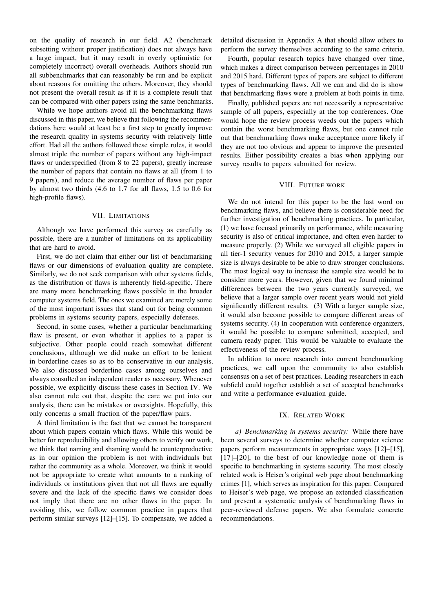on the quality of research in our field. A2 (benchmark subsetting without proper justification) does not always have a large impact, but it may result in overly optimistic (or completely incorrect) overall overheads. Authors should run all subbenchmarks that can reasonably be run and be explicit about reasons for omitting the others. Moreover, they should not present the overall result as if it is a complete result that can be compared with other papers using the same benchmarks.

While we hope authors avoid all the benchmarking flaws discussed in this paper, we believe that following the recommendations here would at least be a first step to greatly improve the research quality in systems security with relatively little effort. Had all the authors followed these simple rules, it would almost triple the number of papers without any high-impact flaws or underspecified (from 8 to 22 papers), greatly increase the number of papers that contain no flaws at all (from 1 to 9 papers), and reduce the average number of flaws per paper by almost two thirds (4.6 to 1.7 for all flaws, 1.5 to 0.6 for high-profile flaws).

#### VII. LIMITATIONS

Although we have performed this survey as carefully as possible, there are a number of limitations on its applicability that are hard to avoid.

First, we do not claim that either our list of benchmarking flaws or our dimensions of evaluation quality are complete. Similarly, we do not seek comparison with other systems fields, as the distribution of flaws is inherently field-specific. There are many more benchmarking flaws possible in the broader computer systems field. The ones we examined are merely some of the most important issues that stand out for being common problems in systems security papers, especially defenses.

Second, in some cases, whether a particular benchmarking flaw is present, or even whether it applies to a paper is subjective. Other people could reach somewhat different conclusions, although we did make an effort to be lenient in borderline cases so as to be conservative in our analysis. We also discussed borderline cases among ourselves and always consulted an independent reader as necessary. Whenever possible, we explicitly discuss these cases in Section IV. We also cannot rule out that, despite the care we put into our analysis, there can be mistakes or oversights. Hopefully, this only concerns a small fraction of the paper/flaw pairs.

A third limitation is the fact that we cannot be transparent about which papers contain which flaws. While this would be better for reproducibility and allowing others to verify our work, we think that naming and shaming would be counterproductive as in our opinion the problem is not with individuals but rather the community as a whole. Moreover, we think it would not be appropriate to create what amounts to a ranking of individuals or institutions given that not all flaws are equally severe and the lack of the specific flaws we consider does not imply that there are no other flaws in the paper. In avoiding this, we follow common practice in papers that perform similar surveys [12]–[15]. To compensate, we added a

detailed discussion in Appendix A that should allow others to perform the survey themselves according to the same criteria.

Fourth, popular research topics have changed over time, which makes a direct comparison between percentages in 2010 and 2015 hard. Different types of papers are subject to different types of benchmarking flaws. All we can and did do is show that benchmarking flaws were a problem at both points in time.

Finally, published papers are not necessarily a representative sample of all papers, especially at the top conferences. One would hope the review process weeds out the papers which contain the worst benchmarking flaws, but one cannot rule out that benchmarking flaws make acceptance more likely if they are not too obvious and appear to improve the presented results. Either possibility creates a bias when applying our survey results to papers submitted for review.

#### VIII. FUTURE WORK

We do not intend for this paper to be the last word on benchmarking flaws, and believe there is considerable need for further investigation of benchmarking practices. In particular, (1) we have focused primarily on performance, while measuring security is also of critical importance, and often even harder to measure properly. (2) While we surveyed all eligible papers in all tier-1 security venues for 2010 and 2015, a larger sample size is always desirable to be able to draw stronger conclusions. The most logical way to increase the sample size would be to consider more years. However, given that we found minimal differences between the two years currently surveyed, we believe that a larger sample over recent years would not yield significantly different results. (3) With a larger sample size, it would also become possible to compare different areas of systems security. (4) In cooperation with conference organizers, it would be possible to compare submitted, accepted, and camera ready paper. This would be valuable to evaluate the effectiveness of the review process.

In addition to more research into current benchmarking practices, we call upon the community to also establish consensus on a set of best practices. Leading researchers in each subfield could together establish a set of accepted benchmarks and write a performance evaluation guide.

#### IX. RELATED WORK

*a) Benchmarking in systems security:* While there have been several surveys to determine whether computer science papers perform measurements in appropriate ways [12]–[15], [17]–[20], to the best of our knowledge none of them is specific to benchmarking in systems security. The most closely related work is Heiser's original web page about benchmarking crimes [1], which serves as inspiration for this paper. Compared to Heiser's web page, we propose an extended classification and present a systematic analysis of benchmarking flaws in peer-reviewed defense papers. We also formulate concrete recommendations.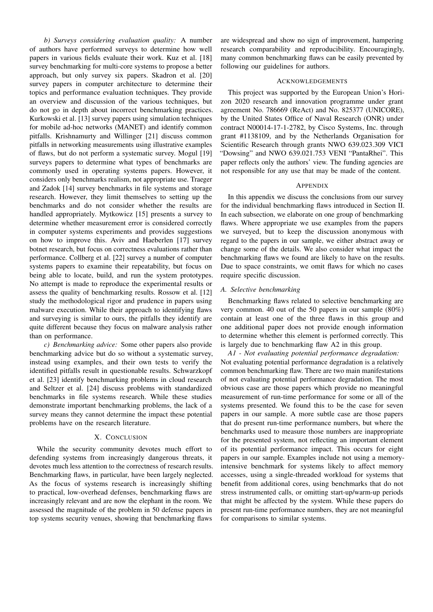*b) Surveys considering evaluation quality:* A number of authors have performed surveys to determine how well papers in various fields evaluate their work. Kuz et al. [18] survey benchmarking for multi-core systems to propose a better approach, but only survey six papers. Skadron et al. [20] survey papers in computer architecture to determine their topics and performance evaluation techniques. They provide an overview and discussion of the various techniques, but do not go in depth about incorrect benchmarking practices. Kurkowski et al. [13] survey papers using simulation techniques for mobile ad-hoc networks (MANET) and identify common pitfalls. Krishnamurty and Willinger [21] discuss common pitfalls in networking measurements using illustrative examples of flaws, but do not perform a systematic survey. Mogul [19] surveys papers to determine what types of benchmarks are commonly used in operating systems papers. However, it considers only benchmarks realism, not appropriate use. Traeger and Zadok [14] survey benchmarks in file systems and storage research. However, they limit themselves to setting up the benchmarks and do not consider whether the results are handled appropriately. Mytkowicz [15] presents a survey to determine whether measurement error is considered correctly in computer systems experiments and provides suggestions on how to improve this. Aviv and Haeberlen [17] survey botnet research, but focus on correctness evaluations rather than performance. Collberg et al. [22] survey a number of computer systems papers to examine their repeatability, but focus on being able to locate, build, and run the system prototypes. No attempt is made to reproduce the experimental results or assess the quality of benchmarking results. Rossow et al. [12] study the methodological rigor and prudence in papers using malware execution. While their approach to identifying flaws and surveying is similar to ours, the pitfalls they identify are quite different because they focus on malware analysis rather than on performance.

*c) Benchmarking advice:* Some other papers also provide benchmarking advice but do so without a systematic survey, instead using examples, and their own tests to verify the identified pitfalls result in questionable results. Schwarzkopf et al. [23] identify benchmarking problems in cloud research and Seltzer et al. [24] discuss problems with standardized benchmarks in file systems research. While these studies demonstrate important benchmarking problems, the lack of a survey means they cannot determine the impact these potential problems have on the research literature.

## X. CONCLUSION

While the security community devotes much effort to defending systems from increasingly dangerous threats, it devotes much less attention to the correctness of research results. Benchmarking flaws, in particular, have been largely neglected. As the focus of systems research is increasingly shifting to practical, low-overhead defenses, benchmarking flaws are increasingly relevant and are now the elephant in the room. We assessed the magnitude of the problem in 50 defense papers in top systems security venues, showing that benchmarking flaws

are widespread and show no sign of improvement, hampering research comparability and reproducibility. Encouragingly, many common benchmarking flaws can be easily prevented by following our guidelines for authors.

#### ACKNOWLEDGEMENTS

This project was supported by the European Union's Horizon 2020 research and innovation programme under grant agreement No. 786669 (ReAct) and No. 825377 (UNICORE), by the United States Office of Naval Research (ONR) under contract N00014-17-1-2782, by Cisco Systems, Inc. through grant #1138109, and by the Netherlands Organisation for Scientific Research through grants NWO 639.023.309 VICI "Dowsing" and NWO 639.021.753 VENI "PantaRhei". This paper reflects only the authors' view. The funding agencies are not responsible for any use that may be made of the content.

#### APPENDIX

In this appendix we discuss the conclusions from our survey for the individual benchmarking flaws introduced in Section II. In each subsection, we elaborate on one group of benchmarking flaws. Where appropriate we use examples from the papers we surveyed, but to keep the discussion anonymous with regard to the papers in our sample, we either abstract away or change some of the details. We also consider what impact the benchmarking flaws we found are likely to have on the results. Due to space constraints, we omit flaws for which no cases require specific discussion.

## *A. Selective benchmarking*

Benchmarking flaws related to selective benchmarking are very common. 40 out of the 50 papers in our sample (80%) contain at least one of the three flaws in this group and one additional paper does not provide enough information to determine whether this element is performed correctly. This is largely due to benchmarking flaw A2 in this group.

*A1 - Not evaluating potential performance degradation:* Not evaluating potential performance degradation is a relatively common benchmarking flaw. There are two main manifestations of not evaluating potential performance degradation. The most obvious case are those papers which provide no meaningful measurement of run-time performance for some or all of the systems presented. We found this to be the case for seven papers in our sample. A more subtle case are those papers that do present run-time performance numbers, but where the benchmarks used to measure those numbers are inappropriate for the presented system, not reflecting an important element of its potential performance impact. This occurs for eight papers in our sample. Examples include not using a memoryintensive benchmark for systems likely to affect memory accesses, using a single-threaded workload for systems that benefit from additional cores, using benchmarks that do not stress instrumented calls, or omitting start-up/warm-up periods that might be affected by the system. While these papers do present run-time performance numbers, they are not meaningful for comparisons to similar systems.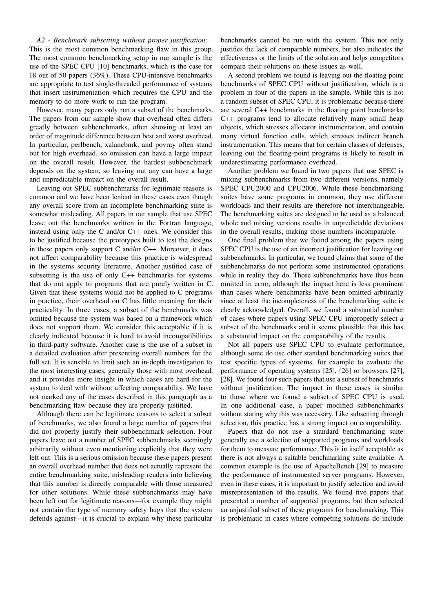*A2 - Benchmark subsetting without proper justification:* This is the most common benchmarking flaw in this group. The most common benchmarking setup in our sample is the use of the SPEC CPU [10] benchmarks, which is the case for 18 out of 50 papers (36%). These CPU-intensive benchmarks are appropriate to test single-threaded performance of systems that insert instrumentation which requires the CPU and the memory to do more work to run the program.

However, many papers only run a subset of the benchmarks. The papers from our sample show that overhead often differs greatly between subbenchmarks, often showing at least an order of magnitude difference between best and worst overhead. In particular, perlbench, xalancbmk, and povray often stand out for high overhead, so omission can have a large impact on the overall result. However, the hardest subbenchmark depends on the system, so leaving out any can have a large and unpredictable impact on the overall result.

Leaving out SPEC subbenchmarks for legitimate reasons is common and we have been lenient in these cases even though any overall score from an incomplete benchmarking suite is somewhat misleading. All papers in our sample that use SPEC leave out the benchmarks written in the Fortran language, instead using only the C and/or C++ ones. We consider this to be justified because the prototypes built to test the designs in these papers only support C and/or C++. Moreover, it does not affect comparability because this practice is widespread in the systems security literature. Another justified case of subsetting is the use of only C++ benchmarks for systems that do not apply to programs that are purely written in C. Given that these systems would not be applied to C programs in practice, their overhead on C has little meaning for their practicality. In three cases, a subset of the benchmarks was omitted because the system was based on a framework which does not support them. We consider this acceptable if it is clearly indicated because it is hard to avoid incompatibilities in third-party software. Another case is the use of a subset in a detailed evaluation after presenting overall numbers for the full set. It is sensible to limit such an in-depth investigation to the most interesting cases, generally those with most overhead, and it provides more insight in which cases are hard for the system to deal with without affecting comparability. We have not marked any of the cases described in this paragraph as a benchmarking flaw because they are properly justified.

Although there can be legitimate reasons to select a subset of benchmarks, we also found a large number of papers that did not properly justify their subbenchmark selection. Four papers leave out a number of SPEC subbenchmarks seemingly arbitrarily without even mentioning explicitly that they were left out. This is a serious omission because these papers present an overall overhead number that does not actually represent the entire benchmarking suite, misleading readers into believing that this number is directly comparable with those measured for other solutions. While these subbenchmarks may have been left out for legitimate reasons—for example they might not contain the type of memory safety bugs that the system defends against—it is crucial to explain why these particular

benchmarks cannot be run with the system. This not only justifies the lack of comparable numbers, but also indicates the effectiveness or the limits of the solution and helps competitors compare their solutions on these issues as well.

A second problem we found is leaving out the floating point benchmarks of SPEC CPU without justification, which is a problem in four of the papers in the sample. While this is not a random subset of SPEC CPU, it is problematic because there are several C++ benchmarks in the floating point benchmarks. C++ programs tend to allocate relatively many small heap objects, which stresses allocator instrumentation, and contain many virtual function calls, which stresses indirect branch instrumentation. This means that for certain classes of defenses, leaving out the floating-point programs is likely to result in underestimating performance overhead.

Another problem we found in two papers that use SPEC is mixing subbenchmarks from two different versions, namely SPEC CPU2000 and CPU2006. While these benchmarking suites have some programs in common, they use different workloads and their results are therefore not interchangeable. The benchmarking suites are designed to be used as a balanced whole and mixing versions results in unpredictable deviations in the overall results, making those numbers incomparable.

One final problem that we found among the papers using SPEC CPU is the use of an incorrect justification for leaving out subbenchmarks. In particular, we found claims that some of the subbenchmarks do not perform some instrumented operations while in reality they do. Those subbenchmarks have thus been omitted in error, although the impact here is less prominent than cases where benchmarks have been omitted arbitrarily since at least the incompleteness of the benchmarking suite is clearly acknowledged. Overall, we found a substantial number of cases where papers using SPEC CPU improperly select a subset of the benchmarks and it seems plausible that this has a substantial impact on the comparability of the results.

Not all papers use SPEC CPU to evaluate performance, although some do use other standard benchmarking suites that test specific types of systems, for example to evaluate the performance of operating systems [25], [26] or browsers [27], [28]. We found four such papers that use a subset of benchmarks without justification. The impact in these cases is similar to those where we found a subset of SPEC CPU is used. In one additional case, a paper modified subbenchmarks without stating why this was necessary. Like subsetting through selection, this practice has a strong impact on comparability.

Papers that do not use a standard benchmarking suite generally use a selection of supported programs and workloads for them to measure performance. This is in itself acceptable as there is not always a suitable benchmarking suite available. A common example is the use of ApacheBench [29] to measure the performance of instrumented server programs. However, even in these cases, it is important to justify selection and avoid misrepresentation of the results. We found five papers that presented a number of supported programs, but then selected an unjustified subset of these programs for benchmarking. This is problematic in cases where competing solutions do include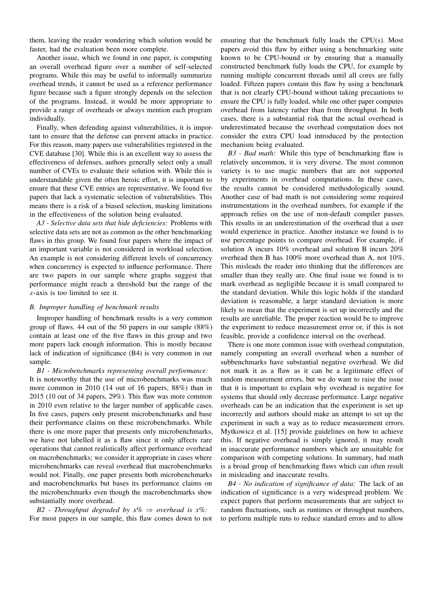them, leaving the reader wondering which solution would be faster, had the evaluation been more complete.

Another issue, which we found in one paper, is computing an overall overhead figure over a number of self-selected programs. While this may be useful to informally summarize overhead trends, it cannot be used as a reference performance figure because such a figure strongly depends on the selection of the programs. Instead, it would be more appropriate to provide a range of overheads or always mention each program individually.

Finally, when defending against vulnerabilities, it is important to ensure that the defense can prevent attacks in practice. For this reason, many papers use vulnerabilities registered in the CVE database [30]. While this is an excellent way to assess the effectiveness of defenses, authors generally select only a small number of CVEs to evaluate their solution with. While this is understandable given the often heroic effort, it is important to ensure that these CVE entries are representative. We found five papers that lack a systematic selection of vulnerabilities. This means there is a risk of a biased selection, masking limitations in the effectiveness of the solution being evaluated.

*A3 - Selective data sets that hide deficiencies:* Problems with selective data sets are not as common as the other benchmarking flaws in this group. We found four papers where the impact of an important variable is not considered in workload selection. An example is not considering different levels of concurrency when concurrency is expected to influence performance. There are two papers in our sample where graphs suggest that performance might reach a threshold but the range of the x-axis is too limited to see it.

# *B. Improper handling of benchmark results*

Improper handling of benchmark results is a very common group of flaws. 44 out of the 50 papers in our sample (88%) contain at least one of the five flaws in this group and two more papers lack enough information. This is mostly because lack of indication of significance (B4) is very common in our sample.

*B1 - Microbenchmarks representing overall performance:* It is noteworthy that the use of microbenchmarks was much more common in 2010 (14 out of 16 papers, 88%) than in 2015 (10 out of 34 papers, 29%). This flaw was more common in 2010 even relative to the larger number of applicable cases. In five cases, papers only present microbenchmarks and base their performance claims on these microbenchmarks. While there is one more paper that presents only microbenchmarks, we have not labelled it as a flaw since it only affects rare operations that cannot realistically affect performance overhead on macrobenchmarks; we consider it appropriate in cases where microbenchmarks can reveal overhead that macrobenchmarks would not. Finally, one paper presents both microbenchmarks and macrobenchmarks but bases its performance claims on the microbenchmarks even though the macrobenchmarks show substantially more overhead.

*B2 - Throughput degraded by x%* ⇒ *overhead is x%:* For most papers in our sample, this flaw comes down to not ensuring that the benchmark fully loads the CPU(s). Most papers avoid this flaw by either using a benchmarking suite known to be CPU-bound or by ensuring that a manually constructed benchmark fully loads the CPU, for example by running multiple concurrent threads until all cores are fully loaded. Fifteen papers contain this flaw by using a benchmark that is not clearly CPU-bound without taking precautions to ensure the CPU is fully loaded, while one other paper computes overhead from latency rather than from throughput. In both cases, there is a substantial risk that the actual overhead is underestimated because the overhead computation does not consider the extra CPU load introduced by the protection mechanism being evaluated.

*B3 - Bad math:* While this type of benchmarking flaw is relatively uncommon, it is very diverse. The most common variety is to use magic numbers that are not supported by experiments in overhead computations. In these cases, the results cannot be considered methodologically sound. Another case of bad math is not considering some required instrumentations in the overhead numbers, for example if the approach relies on the use of non-default compiler passes. This results in an underestimation of the overhead that a user would experience in practice. Another instance we found is to use percentage points to compare overhead. For example, if solution A incurs 10% overhead and solution B incurs 20% overhead then B has 100% more overhead than A, not 10%. This misleads the reader into thinking that the differences are smaller than they really are. One final issue we found is to mark overhead as negligible because it is small compared to the standard deviation. While this logic holds if the standard deviation is reasonable, a large standard deviation is more likely to mean that the experiment is set up incorrectly and the results are unreliable. The proper reaction would be to improve the experiment to reduce measurement error or, if this is not feasible, provide a confidence interval on the overhead.

There is one more common issue with overhead computation, namely computing an overall overhead when a number of subbenchmarks have substantial negative overhead. We did not mark it as a flaw as it can be a legitimate effect of random measurement errors, but we do want to raise the issue that it is important to explain why overhead is negative for systems that should only decrease performance. Large negative overheads can be an indication that the experiment is set up incorrectly and authors should make an attempt to set up the experiment in such a way as to reduce measurement errors. Mytkowicz et al. [15] provide guidelines on how to achieve this. If negative overhead is simply ignored, it may result in inaccurate performance numbers which are unsuitable for comparison with competing solutions. In summary, bad math is a broad group of benchmarking flaws which can often result in misleading and inaccurate results.

*B4 - No indication of significance of data:* The lack of an indication of significance is a very widespread problem. We expect papers that perform measurements that are subject to random fluctuations, such as runtimes or throughput numbers, to perform multiple runs to reduce standard errors and to allow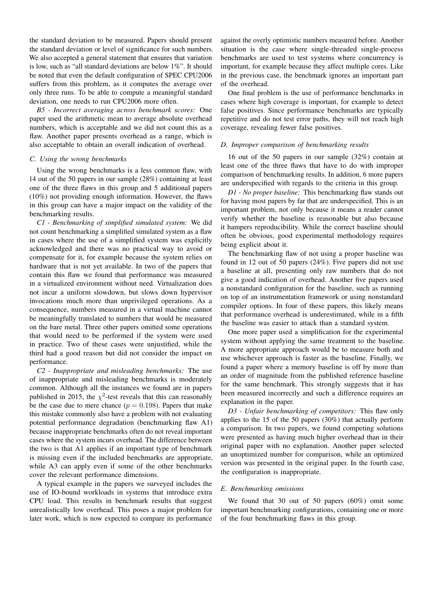the standard deviation to be measured. Papers should present the standard deviation or level of significance for such numbers. We also accepted a general statement that ensures that variation is low, such as "all standard deviations are below 1%". It should be noted that even the default configuration of SPEC CPU2006 suffers from this problem, as it computes the average over only three runs. To be able to compute a meaningful standard deviation, one needs to run CPU2006 more often.

*B5 - Incorrect averaging across benchmark scores:* One paper used the arithmetic mean to average absolute overhead numbers, which is acceptable and we did not count this as a flaw. Another paper presents overhead as a range, which is also acceptable to obtain an overall indication of overhead.

### *C. Using the wrong benchmarks*

Using the wrong benchmarks is a less common flaw, with 14 out of the 50 papers in our sample (28%) containing at least one of the three flaws in this group and 5 additional papers (10%) not providing enough information. However, the flaws in this group can have a major impact on the validity of the benchmarking results.

*C1 - Benchmarking of simplified simulated system:* We did not count benchmarking a simplified simulated system as a flaw in cases where the use of a simplified system was explicitly acknowledged and there was no practical way to avoid or compensate for it, for example because the system relies on hardware that is not yet available. In two of the papers that contain this flaw we found that performance was measured in a virtualized environment without need. Virtualization does not incur a uniform slowdown, but slows down hypervisor invocations much more than unprivileged operations. As a consequence, numbers measured in a virtual machine cannot be meaningfully translated to numbers that would be measured on the bare metal. Three other papers omitted some operations that would need to be performed if the system were used in practice. Two of these cases were unjustified, while the third had a good reason but did not consider the impact on performance.

*C2 - Inappropriate and misleading benchmarks:* The use of inappropriate and misleading benchmarks is moderately common. Although all the instances we found are in papers published in 2015, the  $\chi^2$ -test reveals that this can reasonably be the case due to mere chance ( $p = 0.198$ ). Papers that make this mistake commonly also have a problem with not evaluating potential performance degradation (benchmarking flaw A1) because inappropriate benchmarks often do not reveal important cases where the system incurs overhead. The difference between the two is that A1 applies if an important type of benchmark is missing even if the included benchmarks are appropriate, while A3 can apply even if some of the other benchmarks cover the relevant performance dimensions.

A typical example in the papers we surveyed includes the use of IO-bound workloads in systems that introduce extra CPU load. This results in benchmark results that suggest unrealistically low overhead. This poses a major problem for later work, which is now expected to compare its performance

against the overly optimistic numbers measured before. Another situation is the case where single-threaded single-process benchmarks are used to test systems where concurrency is important, for example because they affect multiple cores. Like in the previous case, the benchmark ignores an important part of the overhead.

One final problem is the use of performance benchmarks in cases where high coverage is important, for example to detect false positives. Since performance benchmarks are typically repetitive and do not test error paths, they will not reach high coverage, revealing fewer false positives.

# *D. Improper comparison of benchmarking results*

16 out of the 50 papers in our sample (32%) contain at least one of the three flaws that have to do with improper comparison of benchmarking results. In addition, 6 more papers are underspecified with regards to the criteria in this group.

*D1 - No proper baseline:* This benchmarking flaw stands out for having most papers by far that are underspecified. This is an important problem, not only because it means a reader cannot verify whether the baseline is reasonable but also because it hampers reproducibility. While the correct baseline should often be obvious, good experimental methodology requires being explicit about it.

The benchmarking flaw of not using a proper baseline was found in 12 out of 50 papers (24%). Five papers did not use a baseline at all, presenting only raw numbers that do not give a good indication of overhead. Another five papers used a nonstandard configuration for the baseline, such as running on top of an instrumentation framework or using nonstandard compiler options. In four of these papers, this likely means that performance overhead is underestimated, while in a fifth the baseline was easier to attack than a standard system.

One more paper used a simplification for the experimental system without applying the same treatment to the baseline. A more appropriate approach would be to measure both and use whichever approach is faster as the baseline. Finally, we found a paper where a memory baseline is off by more than an order of magnitude from the published reference baseline for the same benchmark. This strongly suggests that it has been measured incorrectly and such a difference requires an explanation in the paper.

*D3 - Unfair benchmarking of competitors:* This flaw only applies to the 15 of the 50 papers (30%) that actually perform a comparison. In two papers, we found competing solutions were presented as having much higher overhead than in their original paper with no explanation. Another paper selected an unoptimized number for comparison, while an optimized version was presented in the original paper. In the fourth case, the configuration is inappropriate.

#### *E. Benchmarking omissions*

We found that 30 out of 50 papers (60%) omit some important benchmarking configurations, containing one or more of the four benchmarking flaws in this group.